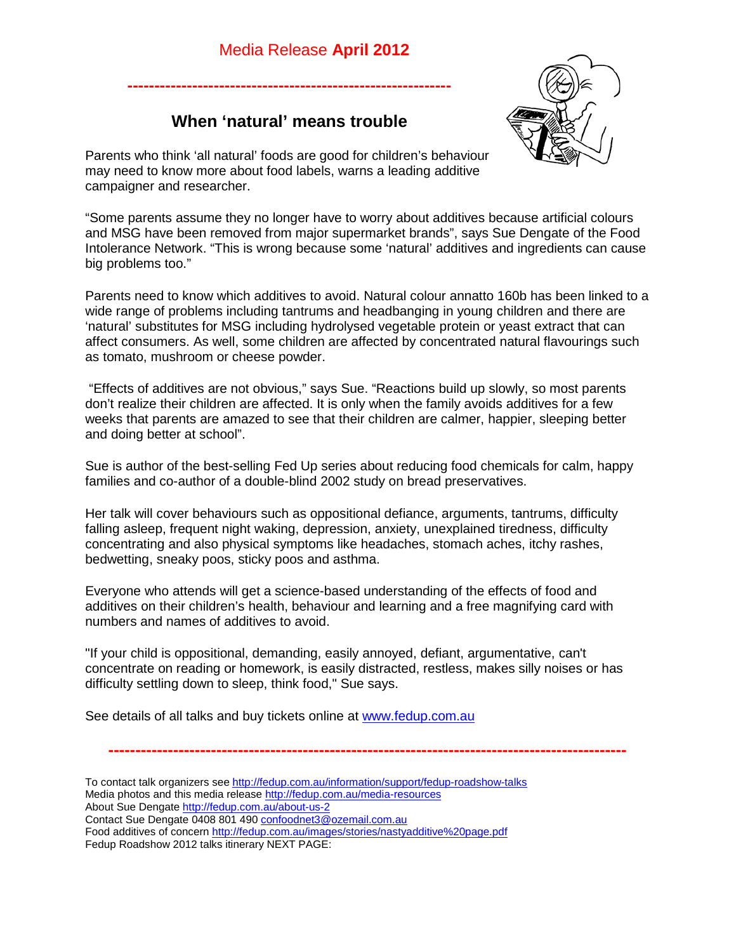## Media Release **April 2012**



## **When 'natural' means trouble**

**------------------------------------------------------------**

Parents who think 'all natural' foods are good for children's behaviour may need to know more about food labels, warns a leading additive campaigner and researcher.

"Some parents assume they no longer have to worry about additives because artificial colours and MSG have been removed from major supermarket brands", says Sue Dengate of the Food Intolerance Network. "This is wrong because some 'natural' additives and ingredients can cause big problems too."

Parents need to know which additives to avoid. Natural colour annatto 160b has been linked to a wide range of problems including tantrums and headbanging in young children and there are 'natural' substitutes for MSG including hydrolysed vegetable protein or yeast extract that can affect consumers. As well, some children are affected by concentrated natural flavourings such as tomato, mushroom or cheese powder.

"Effects of additives are not obvious," says Sue. "Reactions build up slowly, so most parents don't realize their children are affected. It is only when the family avoids additives for a few weeks that parents are amazed to see that their children are calmer, happier, sleeping better and doing better at school".

Sue is author of the best-selling Fed Up series about reducing food chemicals for calm, happy families and co-author of a double-blind 2002 study on bread preservatives.

Her talk will cover behaviours such as oppositional defiance, arguments, tantrums, difficulty falling asleep, frequent night waking, depression, anxiety, unexplained tiredness, difficulty concentrating and also physical symptoms like headaches, stomach aches, itchy rashes, bedwetting, sneaky poos, sticky poos and asthma.

Everyone who attends will get a science-based understanding of the effects of food and additives on their children's health, behaviour and learning and a free magnifying card with numbers and names of additives to avoid.

"If your child is oppositional, demanding, easily annoyed, defiant, argumentative, can't concentrate on reading or homework, is easily distracted, restless, makes silly noises or has difficulty settling down to sleep, think food," Sue says.

See details of all talks and buy tickets online at [www.fedup.com.au](http://www.fedup.com.au/) 

**------------------------------------------------------------------------------------------------**

- To contact talk organizers see <http://fedup.com.au/information/support/fedup-roadshow-talks> Media photos and this media releas[e http://fedup.com.au/media-resources](http://fedup.com.au/media-resources)
- About Sue Dengate<http://fedup.com.au/about-us-2>
- Contact Sue Dengate 0408 801 490 [confoodnet3@ozemail.com.au](mailto:confoodnet3@ozemail.com.au)

Food additives of concer[n http://fedup.com.au/images/stories/nastyadditive%20page.pdf](http://fedup.com.au/images/stories/nastyadditive%20page.pdf)

Fedup Roadshow 2012 talks itinerary NEXT PAGE: